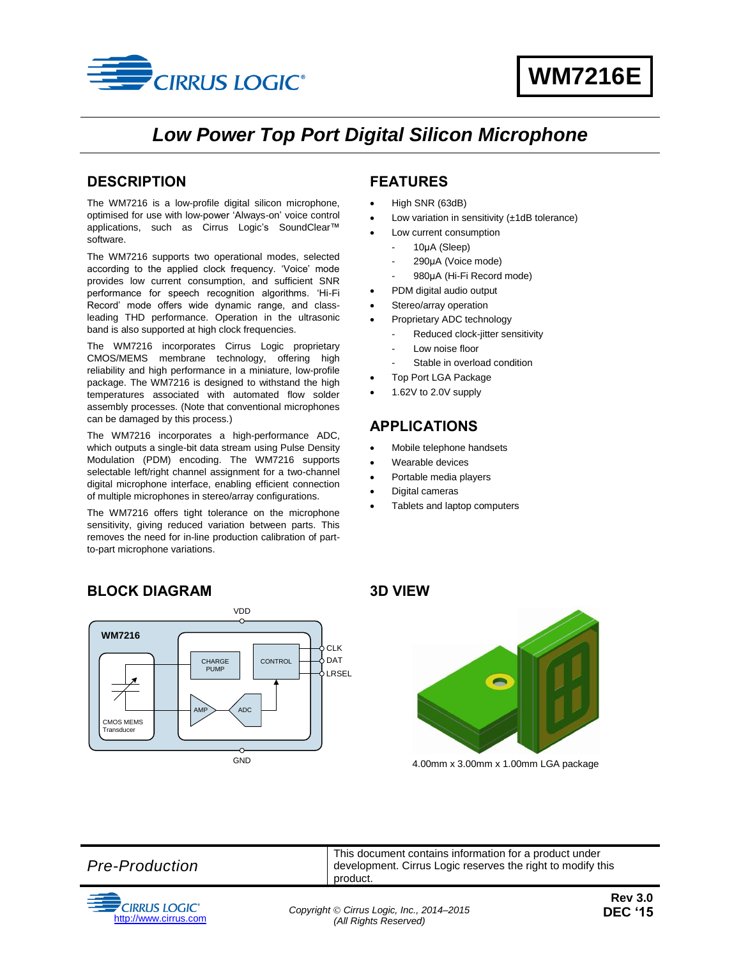

## *Low Power Top Port Digital Silicon Microphone*

#### <span id="page-0-0"></span>**DESCRIPTION**

The WM7216 is a low-profile digital silicon microphone, optimised for use with low-power 'Always-on' voice control applications, such as Cirrus Logic's SoundClear™ software.

The WM7216 supports two operational modes, selected according to the applied clock frequency. 'Voice' mode provides low current consumption, and sufficient SNR performance for speech recognition algorithms. 'Hi-Fi Record' mode offers wide dynamic range, and classleading THD performance. Operation in the ultrasonic band is also supported at high clock frequencies.

The WM7216 incorporates Cirrus Logic proprietary CMOS/MEMS membrane technology, offering high reliability and high performance in a miniature, low-profile package. The WM7216 is designed to withstand the high temperatures associated with automated flow solder assembly processes. (Note that conventional microphones can be damaged by this process.)

The WM7216 incorporates a high-performance ADC, which outputs a single-bit data stream using Pulse Density Modulation (PDM) encoding. The WM7216 supports selectable left/right channel assignment for a two-channel digital microphone interface, enabling efficient connection of multiple microphones in stereo/array configurations.

The WM7216 offers tight tolerance on the microphone sensitivity, giving reduced variation between parts. This removes the need for in-line production calibration of partto-part microphone variations.

### <span id="page-0-1"></span>**FEATURES**

- High SNR (63dB)
- Low variation in sensitivity (±1dB tolerance)
- Low current consumption
	- 10μA (Sleep)
	- 290μA (Voice mode)
	- 980μA (Hi-Fi Record mode)
	- PDM digital audio output
- Stereo/array operation
- Proprietary ADC technology
- Reduced clock-jitter sensitivity
- Low noise floor
- Stable in overload condition
- Top Port LGA Package
- 1.62V to 2.0V supply

#### <span id="page-0-2"></span>**APPLICATIONS**

- Mobile telephone handsets
- Wearable devices
- Portable media players
- Digital cameras
- Tablets and laptop computers

#### <span id="page-0-3"></span>**BLOCK DIAGRAM**



<span id="page-0-4"></span>

4.00mm x 3.00mm x 1.00mm LGA package

*Pre-Production*



This document contains information for a product under development. Cirrus Logic reserves the right to modify this product.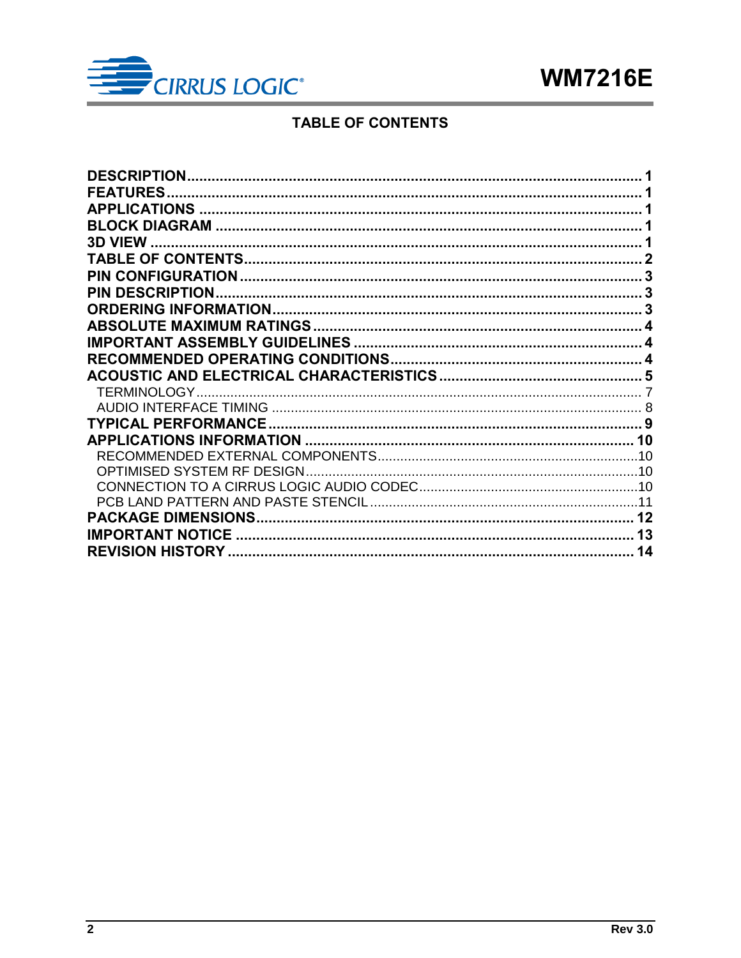

### **TABLE OF CONTENTS**

<span id="page-1-0"></span>

| <b>DESCRIPTION</b>          |    |
|-----------------------------|----|
| <b>FEATURES</b>             |    |
|                             |    |
|                             |    |
|                             |    |
|                             |    |
|                             |    |
| <b>PIN DESCRIPTION.</b>     |    |
|                             |    |
|                             |    |
|                             |    |
|                             |    |
|                             |    |
|                             |    |
|                             |    |
|                             |    |
|                             |    |
|                             |    |
| OPTIMISED SYSTEM RF DESIGN. |    |
|                             |    |
|                             |    |
|                             |    |
|                             |    |
| <b>IMPORTANT NOTICE</b>     | 13 |
| <b>REVISION HISTORY.</b>    | 14 |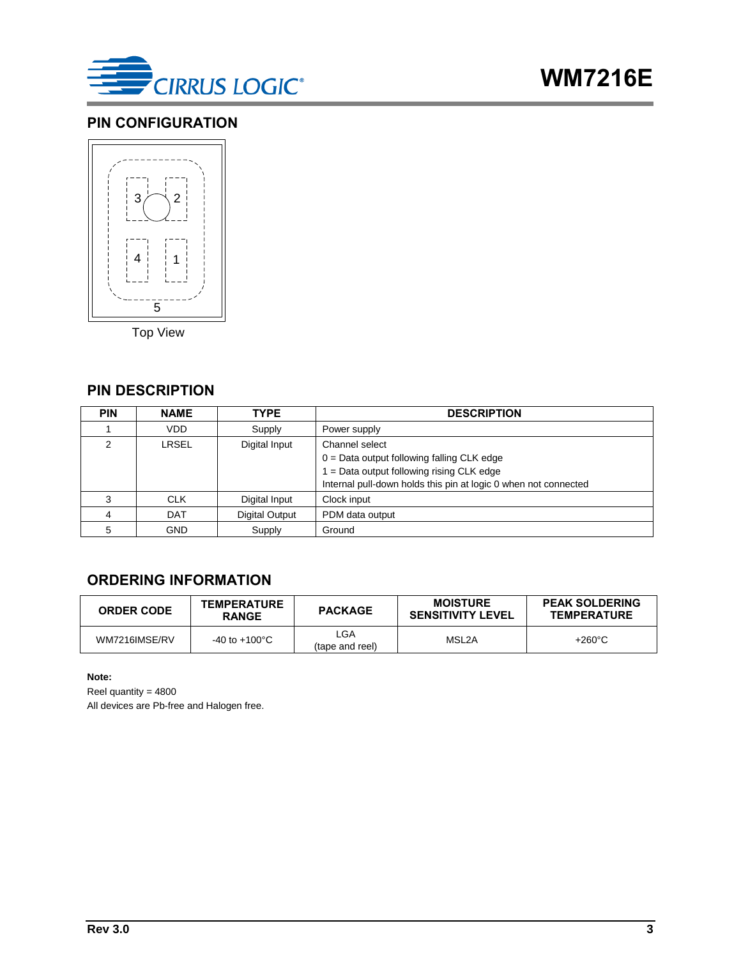

### <span id="page-2-0"></span>**PIN CONFIGURATION**



Top View

#### <span id="page-2-1"></span>**PIN DESCRIPTION**

| <b>PIN</b> | <b>NAME</b> | <b>TYPE</b>    | <b>DESCRIPTION</b>                                                                                                                                                               |
|------------|-------------|----------------|----------------------------------------------------------------------------------------------------------------------------------------------------------------------------------|
|            | VDD         | Supply         | Power supply                                                                                                                                                                     |
| 2          | LRSEL       | Digital Input  | Channel select<br>$0 = Data$ output following falling CLK edge<br>$1 = Data$ output following rising CLK edge<br>Internal pull-down holds this pin at logic 0 when not connected |
|            | <b>CLK</b>  | Digital Input  | Clock input                                                                                                                                                                      |
|            | <b>DAT</b>  | Digital Output | PDM data output                                                                                                                                                                  |
| 5          | <b>GND</b>  | Supply         | Ground                                                                                                                                                                           |

#### <span id="page-2-2"></span>**ORDERING INFORMATION**

| <b>ORDER CODE</b> | <b>TEMPERATURE</b><br><b>RANGE</b> | <b>PACKAGE</b>         | <b>MOISTURE</b><br><b>SENSITIVITY LEVEL</b> | <b>PEAK SOLDERING</b><br><b>TEMPERATURE</b> |
|-------------------|------------------------------------|------------------------|---------------------------------------------|---------------------------------------------|
| WM7216IMSE/RV     | $-40$ to $+100^{\circ}$ C          | _GA<br>(tape and reel) | MSL2A                                       | $+260^{\circ}$ C                            |

**Note:**

Reel quantity = 4800

All devices are Pb-free and Halogen free.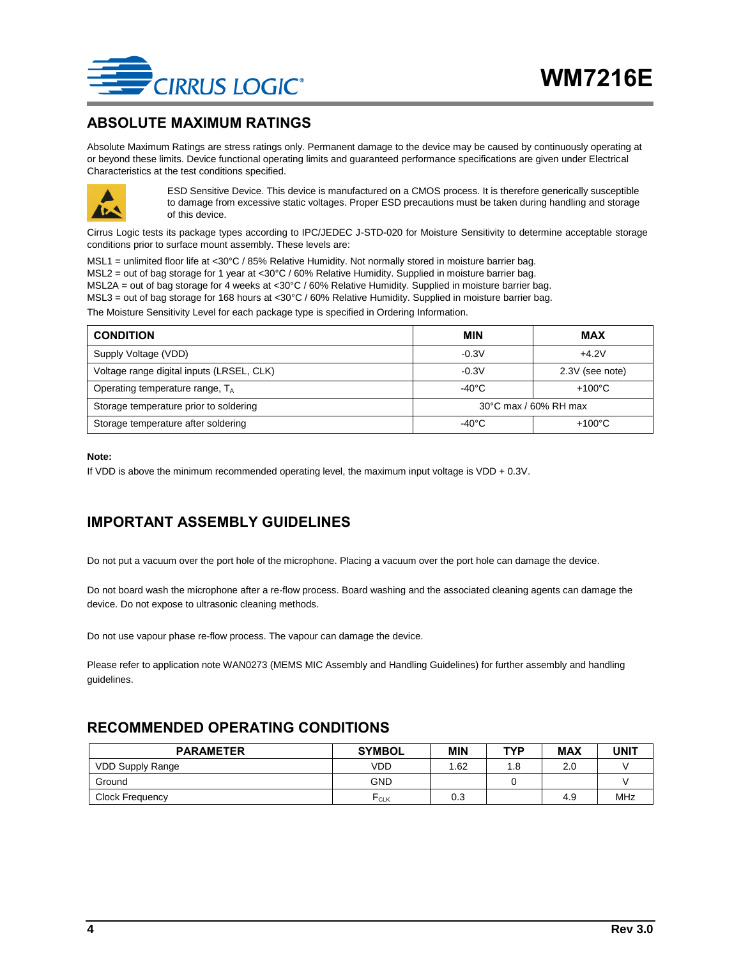

#### <span id="page-3-0"></span>**ABSOLUTE MAXIMUM RATINGS**

Absolute Maximum Ratings are stress ratings only. Permanent damage to the device may be caused by continuously operating at or beyond these limits. Device functional operating limits and guaranteed performance specifications are given under Electrical Characteristics at the test conditions specified.



ESD Sensitive Device. This device is manufactured on a CMOS process. It is therefore generically susceptible to damage from excessive static voltages. Proper ESD precautions must be taken during handling and storage of this device.

Cirrus Logic tests its package types according to IPC/JEDEC J-STD-020 for Moisture Sensitivity to determine acceptable storage conditions prior to surface mount assembly. These levels are:

MSL1 = unlimited floor life at <30°C / 85% Relative Humidity. Not normally stored in moisture barrier bag. MSL2 = out of bag storage for 1 year at <30°C / 60% Relative Humidity. Supplied in moisture barrier bag. MSL2A = out of bag storage for 4 weeks at <30°C / 60% Relative Humidity. Supplied in moisture barrier bag. MSL3 = out of bag storage for 168 hours at <30°C / 60% Relative Humidity. Supplied in moisture barrier bag.

The Moisture Sensitivity Level for each package type is specified in Ordering Information.

| <b>CONDITION</b>                            | <b>MIN</b>            | MAX              |  |
|---------------------------------------------|-----------------------|------------------|--|
| Supply Voltage (VDD)                        | $-0.3V$               | $+4.2V$          |  |
| Voltage range digital inputs (LRSEL, CLK)   | $-0.3V$               | 2.3V (see note)  |  |
| Operating temperature range, T <sub>A</sub> | $-40^{\circ}$ C       | $+100^{\circ}$ C |  |
| Storage temperature prior to soldering      | 30°C max / 60% RH max |                  |  |
| Storage temperature after soldering         | $-40^{\circ}$ C       | $+100^{\circ}$ C |  |

#### **Note:**

If VDD is above the minimum recommended operating level, the maximum input voltage is VDD + 0.3V.

#### <span id="page-3-1"></span>**IMPORTANT ASSEMBLY GUIDELINES**

Do not put a vacuum over the port hole of the microphone. Placing a vacuum over the port hole can damage the device.

Do not board wash the microphone after a re-flow process. Board washing and the associated cleaning agents can damage the device. Do not expose to ultrasonic cleaning methods.

Do not use vapour phase re-flow process. The vapour can damage the device.

Please refer to application note WAN0273 (MEMS MIC Assembly and Handling Guidelines) for further assembly and handling guidelines.

#### <span id="page-3-2"></span>**RECOMMENDED OPERATING CONDITIONS**

| <b>PARAMETER</b>        | <b>SYMBOL</b> | MIN | <b>TYP</b> | <b>MAX</b> | <b>UNIT</b> |
|-------------------------|---------------|-----|------------|------------|-------------|
| <b>VDD Supply Range</b> | VDD           | .62 |            | 2.0        |             |
| Ground                  | <b>GND</b>    |     |            |            |             |
| <b>Clock Frequency</b>  | FCLK          | 0.3 |            | 4.9        | MHz         |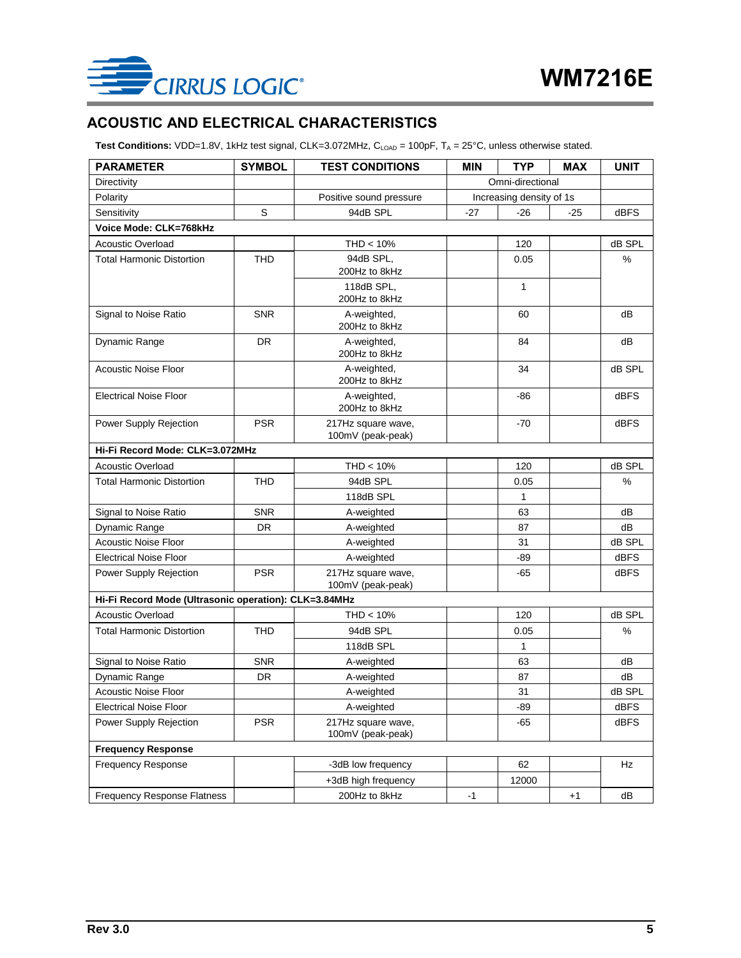

### <span id="page-4-0"></span>**ACOUSTIC AND ELECTRICAL CHARACTERISTICS**

Test Conditions: VDD=1.8V, 1kHz test signal, CLK=3.072MHz, C<sub>LOAD</sub> = 100pF, T<sub>A</sub> = 25°C, unless otherwise stated.

| <b>PARAMETER</b>                                      | <b>SYMBOL</b> | <b>TEST CONDITIONS</b>                  | <b>MIN</b>       | <b>TYP</b>               | <b>MAX</b> | <b>UNIT</b> |
|-------------------------------------------------------|---------------|-----------------------------------------|------------------|--------------------------|------------|-------------|
| Directivity                                           |               |                                         | Omni-directional |                          |            |             |
| Polarity                                              |               | Positive sound pressure                 |                  | Increasing density of 1s |            |             |
| Sensitivity                                           | S             | 94dB SPL                                | $-27$            | $-26$                    | $-25$      | dBFS        |
| Voice Mode: CLK=768kHz                                |               |                                         |                  |                          |            |             |
| <b>Acoustic Overload</b>                              |               | $THD < 10\%$                            |                  | 120                      |            | dB SPL      |
| <b>Total Harmonic Distortion</b>                      | <b>THD</b>    | 94dB SPL,<br>200Hz to 8kHz              |                  | 0.05                     |            | %           |
|                                                       |               | 118dB SPL,<br>200Hz to 8kHz             |                  | $\mathbf{1}$             |            |             |
| Signal to Noise Ratio                                 | <b>SNR</b>    | A-weighted,<br>200Hz to 8kHz            |                  | 60                       |            | dB          |
| Dynamic Range                                         | DR.           | A-weighted,<br>200Hz to 8kHz            |                  | 84                       |            | dB          |
| <b>Acoustic Noise Floor</b>                           |               | A-weighted,<br>200Hz to 8kHz            |                  | 34                       |            | dB SPL      |
| <b>Electrical Noise Floor</b>                         |               | A-weighted,<br>200Hz to 8kHz            |                  | -86                      |            | <b>dBFS</b> |
| Power Supply Rejection                                | <b>PSR</b>    | 217Hz square wave,<br>100mV (peak-peak) |                  | $-70$                    |            | <b>dBFS</b> |
| Hi-Fi Record Mode: CLK=3.072MHz                       |               |                                         |                  |                          |            |             |
| Acoustic Overload                                     |               | $THD < 10\%$                            |                  | 120                      |            | dB SPL      |
| <b>Total Harmonic Distortion</b>                      | <b>THD</b>    | 94dB SPL                                |                  | 0.05                     |            | %           |
|                                                       |               | 118dB SPL                               |                  | 1                        |            |             |
| Signal to Noise Ratio                                 | <b>SNR</b>    | A-weighted                              |                  | 63                       |            | dB          |
| Dynamic Range                                         | <b>DR</b>     | A-weighted                              |                  | 87                       |            | dB          |
| <b>Acoustic Noise Floor</b>                           |               | A-weighted                              |                  | 31                       |            | dB SPL      |
| <b>Electrical Noise Floor</b>                         |               | A-weighted                              |                  | -89                      |            | dBFS        |
| Power Supply Rejection                                | <b>PSR</b>    | 217Hz square wave,<br>100mV (peak-peak) |                  | -65                      |            | <b>dBFS</b> |
| Hi-Fi Record Mode (Ultrasonic operation): CLK=3.84MHz |               |                                         |                  |                          |            |             |
| Acoustic Overload                                     |               | $THD < 10\%$                            |                  | 120                      |            | dB SPL      |
| <b>Total Harmonic Distortion</b>                      | <b>THD</b>    | 94dB SPL                                |                  | 0.05                     |            | %           |
|                                                       |               | 118dB SPL                               |                  | 1                        |            |             |
| Signal to Noise Ratio                                 | <b>SNR</b>    | A-weighted                              |                  | 63                       |            | dB          |
| Dynamic Range                                         | <b>DR</b>     | A-weighted                              |                  | 87                       |            | dB          |
| <b>Acoustic Noise Floor</b>                           |               | A-weighted                              |                  | 31                       |            | dB SPL      |
| <b>Electrical Noise Floor</b>                         |               | A-weighted                              |                  | $-89$                    |            | dBFS        |
| Power Supply Rejection                                | <b>PSR</b>    | 217Hz square wave,<br>100mV (peak-peak) |                  | -65                      |            | dBFS        |
| <b>Frequency Response</b>                             |               |                                         |                  |                          |            |             |
| <b>Frequency Response</b>                             |               | -3dB low frequency                      |                  | 62                       |            | Hz          |
|                                                       |               | +3dB high frequency                     |                  | 12000                    |            |             |
| Frequency Response Flatness                           |               | 200Hz to 8kHz                           | $-1$             |                          | $+1$       | dB          |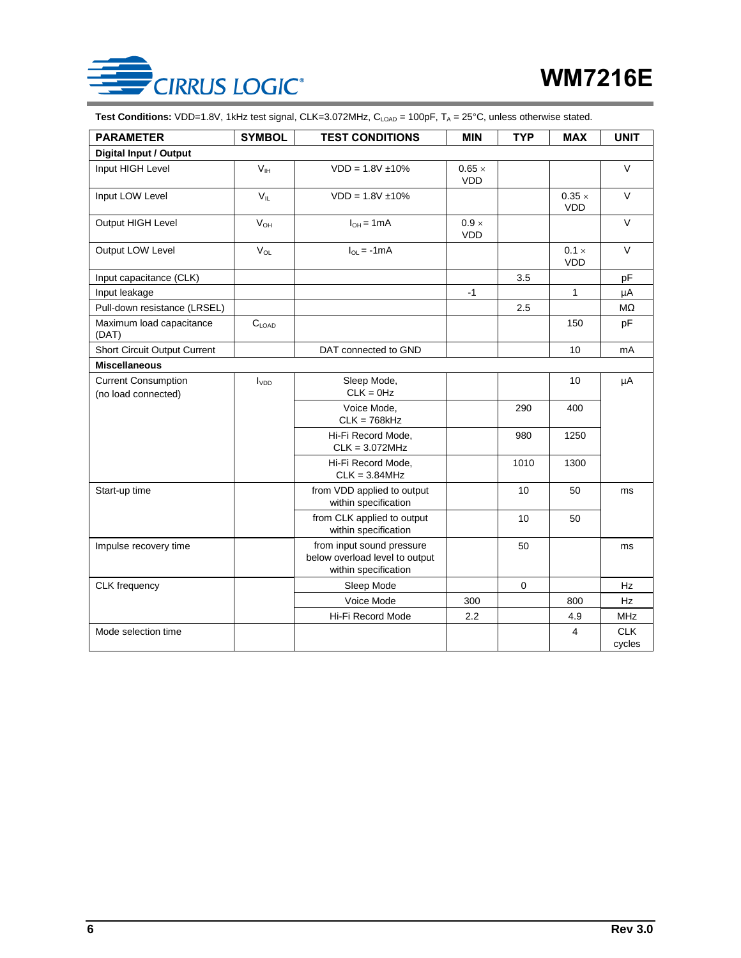

Test Conditions: VDD=1.8V, 1kHz test signal, CLK=3.072MHz, C<sub>LOAD</sub> = 100pF, T<sub>A</sub> = 25°C, unless otherwise stated.

| <b>PARAMETER</b>                                  | <b>SYMBOL</b>     | <b>TEST CONDITIONS</b>                                                              | <b>MIN</b>                  | <b>TYP</b>  | <b>MAX</b>                  | <b>UNIT</b>          |
|---------------------------------------------------|-------------------|-------------------------------------------------------------------------------------|-----------------------------|-------------|-----------------------------|----------------------|
| <b>Digital Input / Output</b>                     |                   |                                                                                     |                             |             |                             |                      |
| Input HIGH Level                                  | V <sub>IH</sub>   | $VDD = 1.8V \pm 10\%$                                                               | $0.65 \times$<br><b>VDD</b> |             |                             | $\vee$               |
| Input LOW Level                                   | $V_{\parallel}$   | $VDD = 1.8V \pm 10\%$                                                               |                             |             | $0.35 \times$<br><b>VDD</b> | V                    |
| Output HIGH Level                                 | $V_{OH}$          | $I_{OH} = 1mA$                                                                      | $0.9 \times$<br><b>VDD</b>  |             |                             | $\vee$               |
| Output LOW Level                                  | $V_{OL}$          | $I_{OL} = -1mA$                                                                     |                             |             | $0.1 \times$<br><b>VDD</b>  | $\vee$               |
| Input capacitance (CLK)                           |                   |                                                                                     |                             | 3.5         |                             | pF                   |
| Input leakage                                     |                   |                                                                                     | $-1$                        |             | 1                           | μA                   |
| Pull-down resistance (LRSEL)                      |                   |                                                                                     |                             | 2.5         |                             | $M\Omega$            |
| Maximum load capacitance<br>(DAT)                 | $C_{\text{LOAD}}$ |                                                                                     |                             |             | 150                         | pF                   |
| <b>Short Circuit Output Current</b>               |                   | DAT connected to GND                                                                |                             |             | 10                          | mA                   |
| <b>Miscellaneous</b>                              |                   |                                                                                     |                             |             |                             |                      |
| <b>Current Consumption</b><br>(no load connected) | I <sub>VDD</sub>  | Sleep Mode,<br>$CLK = 0Hz$                                                          |                             |             | 10                          | μA                   |
|                                                   |                   | Voice Mode,<br>$CLK = 768kHz$                                                       |                             | 290         | 400                         |                      |
|                                                   |                   | Hi-Fi Record Mode,<br>$CLK = 3.072MHz$                                              |                             | 980         | 1250                        |                      |
|                                                   |                   | Hi-Fi Record Mode.<br>$CLK = 3.84MHz$                                               |                             | 1010        | 1300                        |                      |
| Start-up time                                     |                   | from VDD applied to output<br>within specification                                  |                             | 10          | 50                          | ms                   |
|                                                   |                   | from CLK applied to output<br>within specification                                  |                             | 10          | 50                          |                      |
| Impulse recovery time                             |                   | from input sound pressure<br>below overload level to output<br>within specification |                             | 50          |                             | ms                   |
| CLK frequency                                     |                   | Sleep Mode                                                                          |                             | $\mathbf 0$ |                             | Hz                   |
|                                                   |                   | Voice Mode                                                                          | 300                         |             | 800                         | <b>Hz</b>            |
|                                                   |                   | Hi-Fi Record Mode                                                                   | 2.2                         |             | 4.9                         | <b>MHz</b>           |
| Mode selection time                               |                   |                                                                                     |                             |             | 4                           | <b>CLK</b><br>cycles |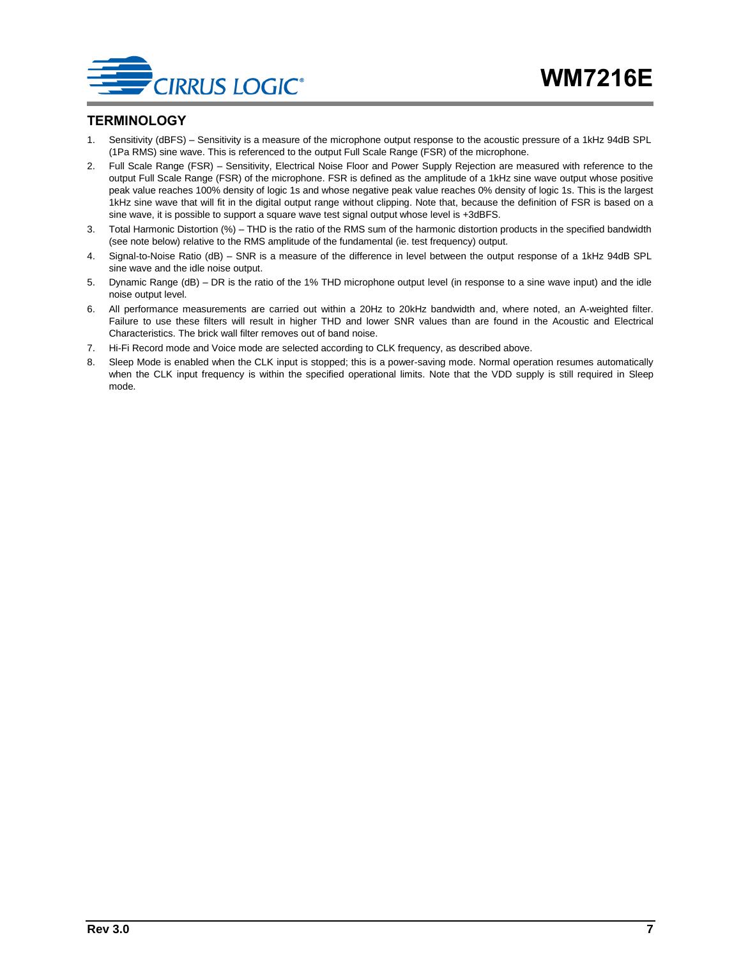

#### <span id="page-6-0"></span>**TERMINOLOGY**

- 1. Sensitivity (dBFS) Sensitivity is a measure of the microphone output response to the acoustic pressure of a 1kHz 94dB SPL (1Pa RMS) sine wave. This is referenced to the output Full Scale Range (FSR) of the microphone.
- 2. Full Scale Range (FSR) Sensitivity, Electrical Noise Floor and Power Supply Rejection are measured with reference to the output Full Scale Range (FSR) of the microphone. FSR is defined as the amplitude of a 1kHz sine wave output whose positive peak value reaches 100% density of logic 1s and whose negative peak value reaches 0% density of logic 1s. This is the largest 1kHz sine wave that will fit in the digital output range without clipping. Note that, because the definition of FSR is based on a sine wave, it is possible to support a square wave test signal output whose level is +3dBFS.
- 3. Total Harmonic Distortion (%) THD is the ratio of the RMS sum of the harmonic distortion products in the specified bandwidth (see note below) relative to the RMS amplitude of the fundamental (ie. test frequency) output.
- 4. Signal-to-Noise Ratio (dB) SNR is a measure of the difference in level between the output response of a 1kHz 94dB SPL sine wave and the idle noise output.
- 5. Dynamic Range (dB) DR is the ratio of the 1% THD microphone output level (in response to a sine wave input) and the idle noise output level.
- 6. All performance measurements are carried out within a 20Hz to 20kHz bandwidth and, where noted, an A-weighted filter. Failure to use these filters will result in higher THD and lower SNR values than are found in the Acoustic and Electrical Characteristics. The brick wall filter removes out of band noise.
- 7. Hi-Fi Record mode and Voice mode are selected according to CLK frequency, as described above.
- 8. Sleep Mode is enabled when the CLK input is stopped; this is a power-saving mode. Normal operation resumes automatically when the CLK input frequency is within the specified operational limits. Note that the VDD supply is still required in Sleep mode.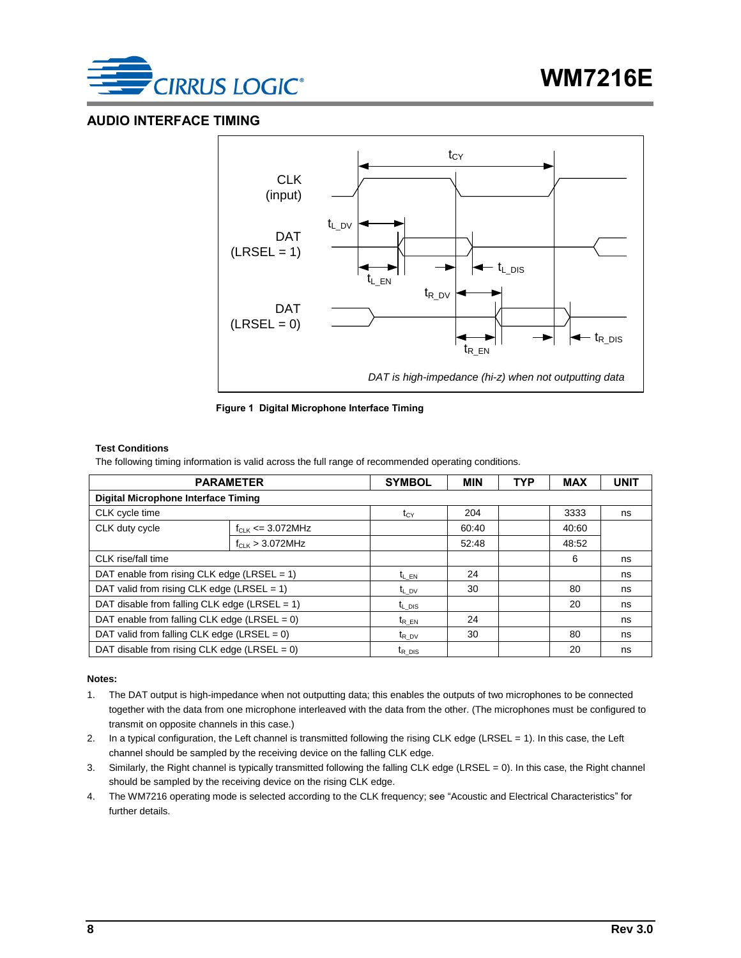

#### <span id="page-7-0"></span>**AUDIO INTERFACE TIMING**





#### **Test Conditions**

The following timing information is valid across the full range of recommended operating conditions.

| <b>PARAMETER</b>                                | <b>SYMBOL</b>         | <b>MIN</b>         | <b>TYP</b> | <b>MAX</b> | <b>UNIT</b> |    |
|-------------------------------------------------|-----------------------|--------------------|------------|------------|-------------|----|
| <b>Digital Microphone Interface Timing</b>      |                       |                    |            |            |             |    |
| CLK cycle time                                  |                       | $t_{CY}$           | 204        |            | 3333        | ns |
| CLK duty cycle                                  | $f_{CLK}$ <= 3.072MHz |                    | 60:40      |            | 40:60       |    |
|                                                 | $f_{CLK}$ > 3.072MHz  |                    | 52:48      |            | 48:52       |    |
| CLK rise/fall time                              |                       |                    |            |            | 6           | ns |
| DAT enable from rising CLK edge (LRSEL = $1$ )  |                       | $t_{LEN}$          | 24         |            |             | ns |
| DAT valid from rising CLK edge (LRSEL = $1$ )   |                       | $t_{L, DV}$        | 30         |            | 80          | ns |
| DAT disable from falling CLK edge (LRSEL = 1)   |                       | $t_{L}$ pis        |            |            | 20          | ns |
| DAT enable from falling CLK edge (LRSEL = $0$ ) | $t_{REN}$             | 24                 |            |            | ns          |    |
| DAT valid from falling CLK edge (LRSEL = $0$ )  |                       | $t_{R}$ pv         | 30         |            | 80          | ns |
| DAT disable from rising CLK edge (LRSEL = $0$ ) |                       | $t_{R\text{ DIS}}$ |            |            | 20          | ns |

#### **Notes:**

- 1. The DAT output is high-impedance when not outputting data; this enables the outputs of two microphones to be connected together with the data from one microphone interleaved with the data from the other. (The microphones must be configured to transmit on opposite channels in this case.)
- 2. In a typical configuration, the Left channel is transmitted following the rising CLK edge (LRSEL = 1). In this case, the Left channel should be sampled by the receiving device on the falling CLK edge.
- 3. Similarly, the Right channel is typically transmitted following the falling CLK edge (LRSEL = 0). In this case, the Right channel should be sampled by the receiving device on the rising CLK edge.
- 4. The WM7216 operating mode is selected according to the CLK frequency; see ["Acoustic and Electrical Characteristics"](#page-4-0) for further details.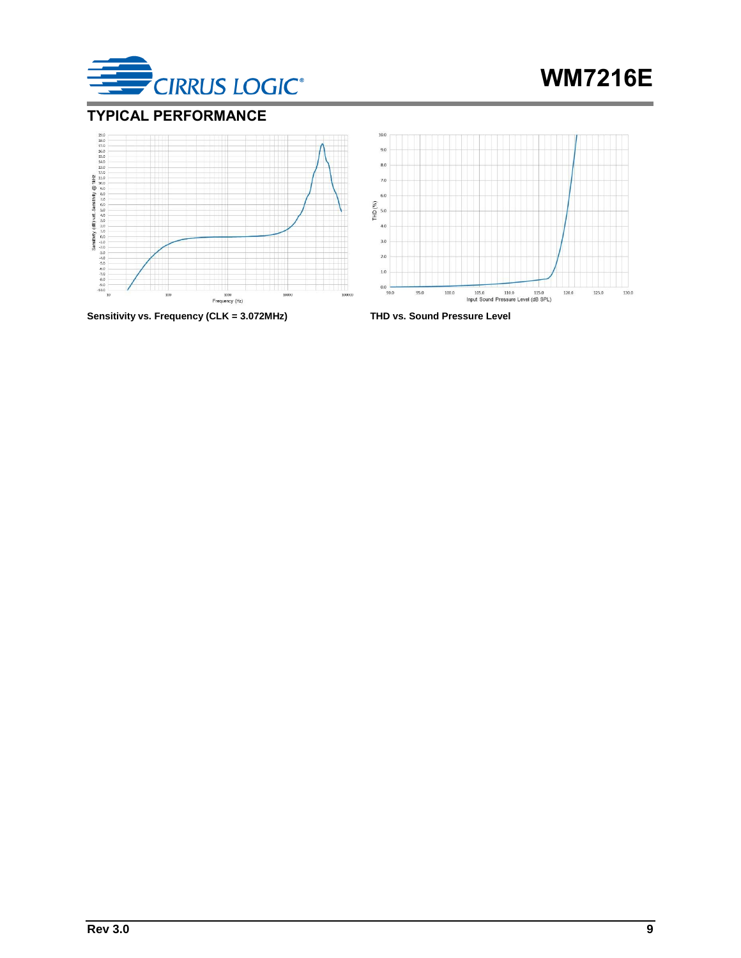



### <span id="page-8-0"></span>**TYPICAL PERFORMANCE**





**Sensitivity vs. Frequency (CLK = 3.072MHz) THD vs. Sound Pressure Level**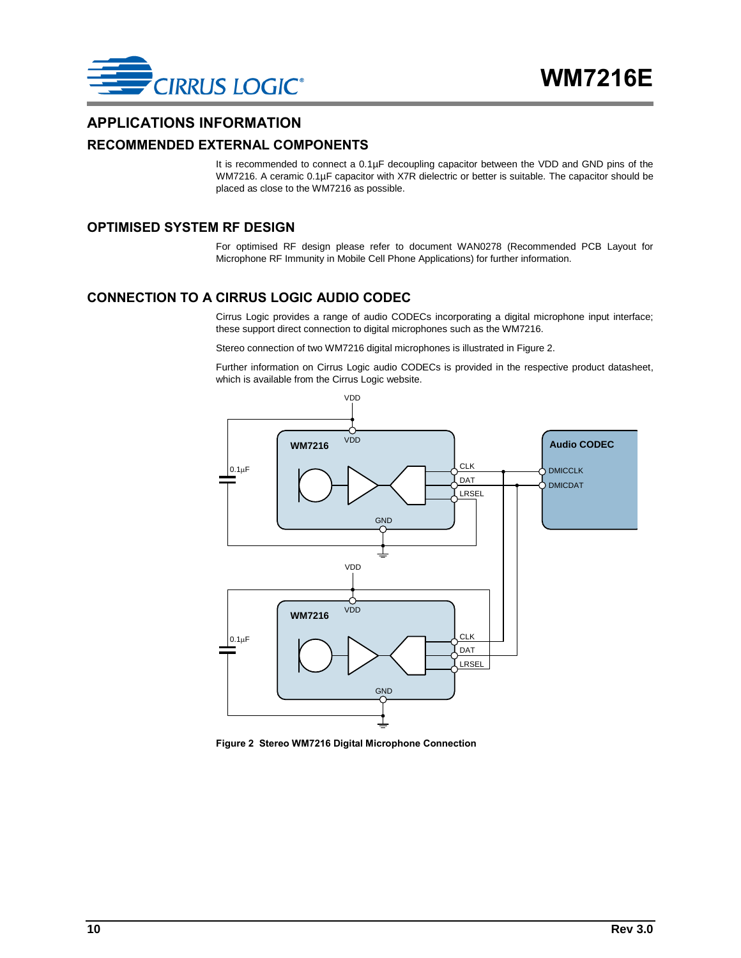

#### <span id="page-9-0"></span>**APPLICATIONS INFORMATION**

#### <span id="page-9-1"></span>**RECOMMENDED EXTERNAL COMPONENTS**

It is recommended to connect a 0.1µF decoupling capacitor between the VDD and GND pins of the WM7216. A ceramic 0.1µF capacitor with X7R dielectric or better is suitable. The capacitor should be placed as close to the WM7216 as possible.

#### <span id="page-9-2"></span>**OPTIMISED SYSTEM RF DESIGN**

For optimised RF design please refer to document WAN0278 (Recommended PCB Layout for Microphone RF Immunity in Mobile Cell Phone Applications) for further information.

#### <span id="page-9-3"></span>**CONNECTION TO A CIRRUS LOGIC AUDIO CODEC**

Cirrus Logic provides a range of audio CODECs incorporating a digital microphone input interface; these support direct connection to digital microphones such as the WM7216.

Stereo connection of two WM7216 digital microphones is illustrated in [Figure 2.](#page-9-4)

Further information on Cirrus Logic audio CODECs is provided in the respective product datasheet, which is available from the Cirrus Logic website.



<span id="page-9-4"></span>**Figure 2 Stereo WM7216 Digital Microphone Connection**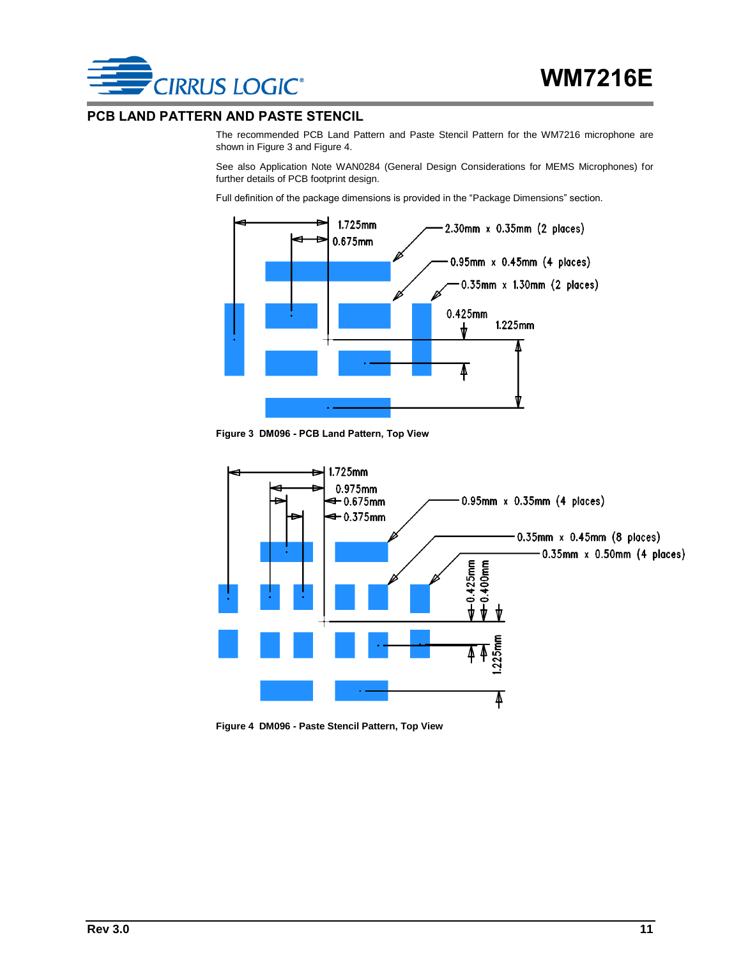

#### <span id="page-10-0"></span>**PCB LAND PATTERN AND PASTE STENCIL**

The recommended PCB Land Pattern and Paste Stencil Pattern for the WM7216 microphone are shown i[n Figure 3](#page-10-1) an[d Figure 4.](#page-10-2)

See also Application Note WAN0284 (General Design Considerations for MEMS Microphones) for further details of PCB footprint design.

Full definition of the package dimensions is provided in the ["Package Dimensions"](#page-11-0) section.



**Figure 3 DM096 - PCB Land Pattern, Top View**

<span id="page-10-1"></span>

<span id="page-10-2"></span>**Figure 4 DM096 - Paste Stencil Pattern, Top View**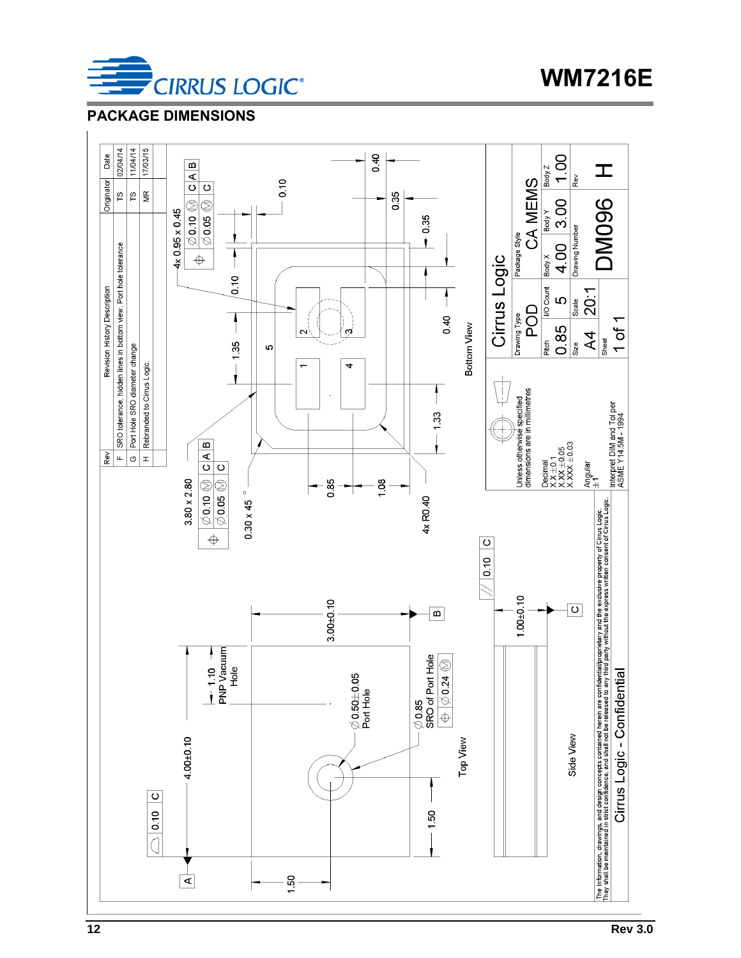

**WM7216E**

### <span id="page-11-0"></span>**PACKAGE DIMENSIONS**

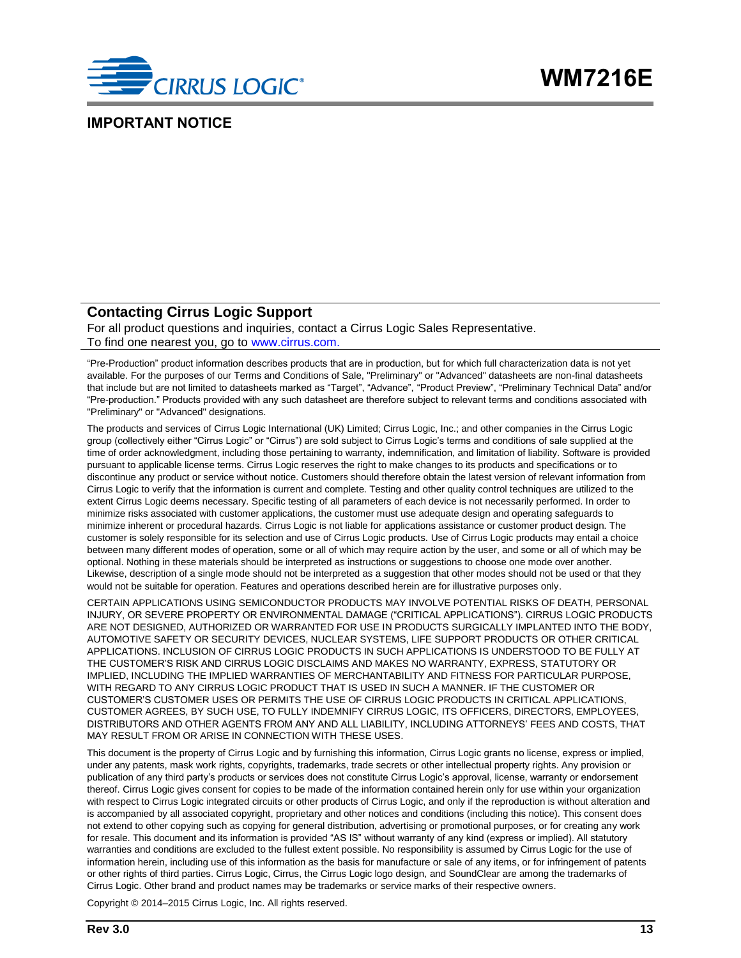

#### <span id="page-12-0"></span>**IMPORTANT NOTICE**

#### **Contacting Cirrus Logic Support**

For all product questions and inquiries, contact a Cirrus Logic Sales Representative. To find one nearest you, go to [www.cirrus.com.](http://www.cirrus.com/)

"Pre-Production" product information describes products that are in production, but for which full characterization data is not yet available. For the purposes of our Terms and Conditions of Sale, "Preliminary" or "Advanced" datasheets are non-final datasheets that include but are not limited to datasheets marked as "Target", "Advance", "Product Preview", "Preliminary Technical Data" and/or "Pre-production." Products provided with any such datasheet are therefore subject to relevant terms and conditions associated with "Preliminary" or "Advanced" designations.

The products and services of Cirrus Logic International (UK) Limited; Cirrus Logic, Inc.; and other companies in the Cirrus Logic group (collectively either "Cirrus Logic" or "Cirrus") are sold subject to Cirrus Logic's terms and conditions of sale supplied at the time of order acknowledgment, including those pertaining to warranty, indemnification, and limitation of liability. Software is provided pursuant to applicable license terms. Cirrus Logic reserves the right to make changes to its products and specifications or to discontinue any product or service without notice. Customers should therefore obtain the latest version of relevant information from Cirrus Logic to verify that the information is current and complete. Testing and other quality control techniques are utilized to the extent Cirrus Logic deems necessary. Specific testing of all parameters of each device is not necessarily performed. In order to minimize risks associated with customer applications, the customer must use adequate design and operating safeguards to minimize inherent or procedural hazards. Cirrus Logic is not liable for applications assistance or customer product design. The customer is solely responsible for its selection and use of Cirrus Logic products. Use of Cirrus Logic products may entail a choice between many different modes of operation, some or all of which may require action by the user, and some or all of which may be optional. Nothing in these materials should be interpreted as instructions or suggestions to choose one mode over another. Likewise, description of a single mode should not be interpreted as a suggestion that other modes should not be used or that they would not be suitable for operation. Features and operations described herein are for illustrative purposes only.

CERTAIN APPLICATIONS USING SEMICONDUCTOR PRODUCTS MAY INVOLVE POTENTIAL RISKS OF DEATH, PERSONAL INJURY, OR SEVERE PROPERTY OR ENVIRONMENTAL DAMAGE ("CRITICAL APPLICATIONS"). CIRRUS LOGIC PRODUCTS ARE NOT DESIGNED, AUTHORIZED OR WARRANTED FOR USE IN PRODUCTS SURGICALLY IMPLANTED INTO THE BODY, AUTOMOTIVE SAFETY OR SECURITY DEVICES, NUCLEAR SYSTEMS, LIFE SUPPORT PRODUCTS OR OTHER CRITICAL APPLICATIONS. INCLUSION OF CIRRUS LOGIC PRODUCTS IN SUCH APPLICATIONS IS UNDERSTOOD TO BE FULLY AT THE CUSTOMER'S RISK AND CIRRUS LOGIC DISCLAIMS AND MAKES NO WARRANTY, EXPRESS, STATUTORY OR IMPLIED, INCLUDING THE IMPLIED WARRANTIES OF MERCHANTABILITY AND FITNESS FOR PARTICULAR PURPOSE, WITH REGARD TO ANY CIRRUS LOGIC PRODUCT THAT IS USED IN SUCH A MANNER. IF THE CUSTOMER OR CUSTOMER'S CUSTOMER USES OR PERMITS THE USE OF CIRRUS LOGIC PRODUCTS IN CRITICAL APPLICATIONS, CUSTOMER AGREES, BY SUCH USE, TO FULLY INDEMNIFY CIRRUS LOGIC, ITS OFFICERS, DIRECTORS, EMPLOYEES, DISTRIBUTORS AND OTHER AGENTS FROM ANY AND ALL LIABILITY, INCLUDING ATTORNEYS' FEES AND COSTS, THAT MAY RESULT FROM OR ARISE IN CONNECTION WITH THESE USES.

This document is the property of Cirrus Logic and by furnishing this information, Cirrus Logic grants no license, express or implied, under any patents, mask work rights, copyrights, trademarks, trade secrets or other intellectual property rights. Any provision or publication of any third party's products or services does not constitute Cirrus Logic's approval, license, warranty or endorsement thereof. Cirrus Logic gives consent for copies to be made of the information contained herein only for use within your organization with respect to Cirrus Logic integrated circuits or other products of Cirrus Logic, and only if the reproduction is without alteration and is accompanied by all associated copyright, proprietary and other notices and conditions (including this notice). This consent does not extend to other copying such as copying for general distribution, advertising or promotional purposes, or for creating any work for resale. This document and its information is provided "AS IS" without warranty of any kind (express or implied). All statutory warranties and conditions are excluded to the fullest extent possible. No responsibility is assumed by Cirrus Logic for the use of information herein, including use of this information as the basis for manufacture or sale of any items, or for infringement of patents or other rights of third parties. Cirrus Logic, Cirrus, the Cirrus Logic logo design, and SoundClear are among the trademarks of Cirrus Logic. Other brand and product names may be trademarks or service marks of their respective owners.

Copyright © 2014–2015 Cirrus Logic, Inc. All rights reserved.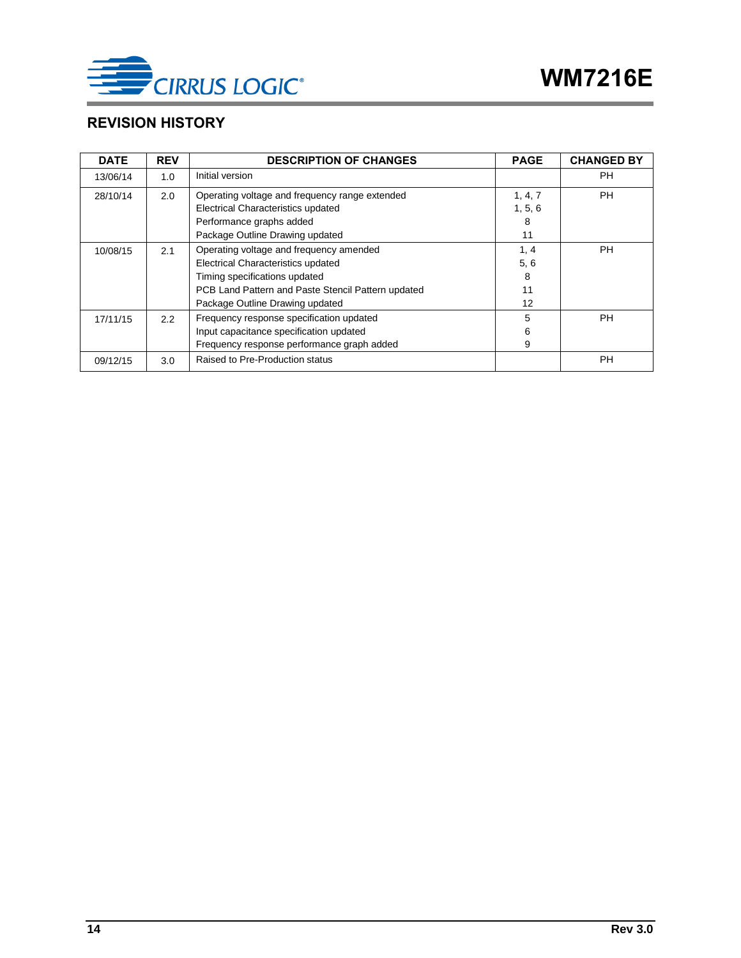

### <span id="page-13-0"></span>**REVISION HISTORY**

| <b>DATE</b> | <b>REV</b>    | <b>DESCRIPTION OF CHANGES</b>                      | <b>PAGE</b>       | <b>CHANGED BY</b> |
|-------------|---------------|----------------------------------------------------|-------------------|-------------------|
| 13/06/14    | 1.0           | Initial version                                    |                   | PH.               |
| 28/10/14    | 2.0           | Operating voltage and frequency range extended     | 1, 4, 7           | PH.               |
|             |               | Electrical Characteristics updated                 | 1, 5, 6           |                   |
|             |               | Performance graphs added                           | 8                 |                   |
|             |               | Package Outline Drawing updated                    | 11                |                   |
| 10/08/15    | 2.1           | Operating voltage and frequency amended            | 1, 4              | PH.               |
|             |               | Electrical Characteristics updated                 | 5, 6              |                   |
|             |               | Timing specifications updated                      | 8                 |                   |
|             |               | PCB Land Pattern and Paste Stencil Pattern updated | 11                |                   |
|             |               | Package Outline Drawing updated                    | $12 \overline{ }$ |                   |
| 17/11/15    | $2.2^{\circ}$ | Frequency response specification updated           | 5                 | PH.               |
|             |               | Input capacitance specification updated            | 6                 |                   |
|             |               | Frequency response performance graph added         | 9                 |                   |
| 09/12/15    | 3.0           | Raised to Pre-Production status                    |                   | <b>PH</b>         |